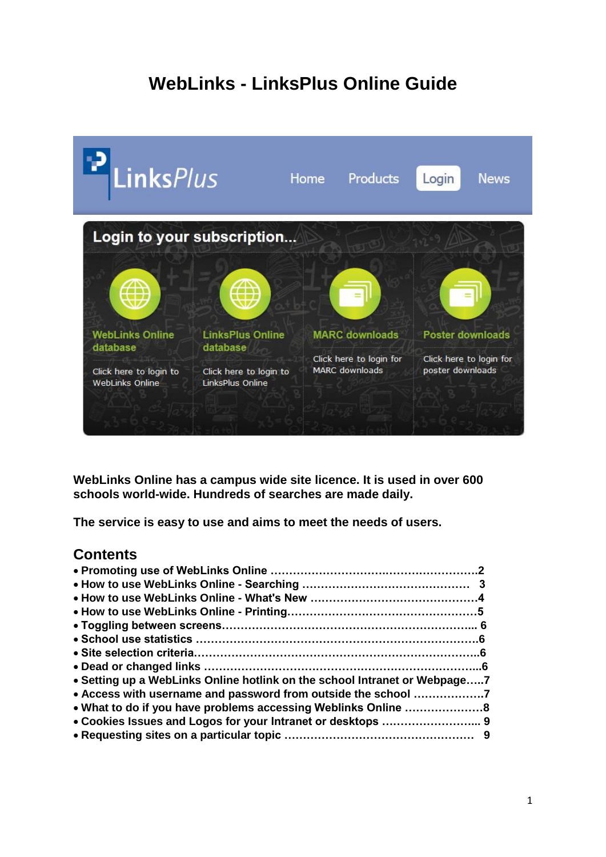# **WebLinks - LinksPlus Online Guide**



**WebLinks Online has a campus wide site licence. It is used in over 600 schools world-wide. Hundreds of searches are made daily.**

**The service is easy to use and aims to meet the needs of users.**

## **Contents**

| • Setting up a WebLinks Online hotlink on the school Intranet or Webpage7 |  |
|---------------------------------------------------------------------------|--|
| • Access with username and password from outside the school 7             |  |
|                                                                           |  |
|                                                                           |  |
|                                                                           |  |
|                                                                           |  |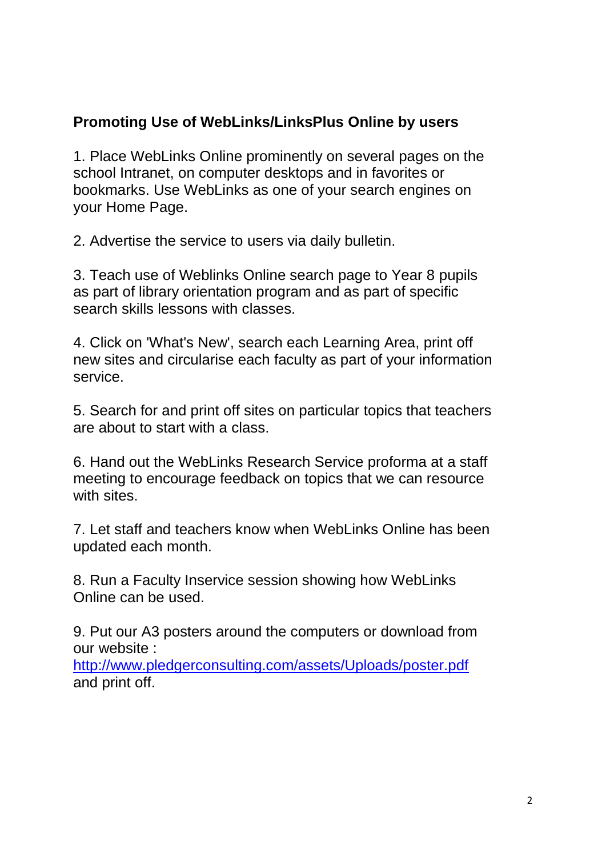# **Promoting Use of WebLinks/LinksPlus Online by users**

1. Place WebLinks Online prominently on several pages on the school Intranet, on computer desktops and in favorites or bookmarks. Use WebLinks as one of your search engines on your Home Page.

2. Advertise the service to users via daily bulletin.

3. Teach use of Weblinks Online search page to Year 8 pupils as part of library orientation program and as part of specific search skills lessons with classes.

4. Click on 'What's New', search each Learning Area, print off new sites and circularise each faculty as part of your information service.

5. Search for and print off sites on particular topics that teachers are about to start with a class.

6. Hand out the WebLinks Research Service proforma at a staff meeting to encourage feedback on topics that we can resource with sites.

7. Let staff and teachers know when WebLinks Online has been updated each month.

8. Run a Faculty Inservice session showing how WebLinks Online can be used.

9. Put our A3 posters around the computers or download from our website :

<http://www.pledgerconsulting.com/assets/Uploads/poster.pdf> and print off.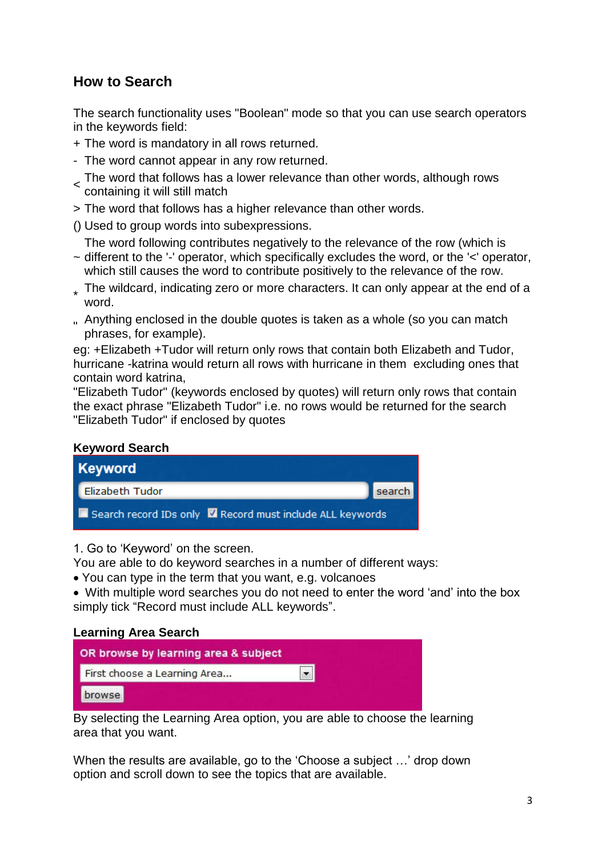## **How to Search**

The search functionality uses "Boolean" mode so that you can use search operators in the keywords field:

- + The word is mandatory in all rows returned.
- The word cannot appear in any row returned.
- The word that follows has a lower relevance than other words, although rows containing it will still match
- > The word that follows has a higher relevance than other words.
- () Used to group words into subexpressions.

The word following contributes negatively to the relevance of the row (which is

- ~ different to the '-' operator, which specifically excludes the word, or the '<' operator, which still causes the word to contribute positively to the relevance of the row.
- \* The wildcard, indicating zero or more characters. It can only appear at the end of a word.
- " Anything enclosed in the double quotes is taken as a whole (so you can match  $\frac{1}{2}$ phrases, for example).

eg: +Elizabeth +Tudor will return only rows that contain both Elizabeth and Tudor, hurricane -katrina would return all rows with hurricane in them excluding ones that contain word katrina,

"Elizabeth Tudor" (keywords enclosed by quotes) will return only rows that contain the exact phrase "Elizabeth Tudor" i.e. no rows would be returned for the search "Elizabeth Tudor" if enclosed by quotes

#### **Keyword Search**



1. Go to 'Keyword' on the screen.

You are able to do keyword searches in a number of different ways:

You can type in the term that you want, e.g. volcanoes

 With multiple word searches you do not need to enter the word 'and' into the box simply tick "Record must include ALL keywords".

#### **Learning Area Search**

| OR browse by learning area & subject |  |
|--------------------------------------|--|
| First choose a Learning Area         |  |
| browse                               |  |

By selecting the Learning Area option, you are able to choose the learning area that you want.

When the results are available, go to the 'Choose a subject …' drop down option and scroll down to see the topics that are available.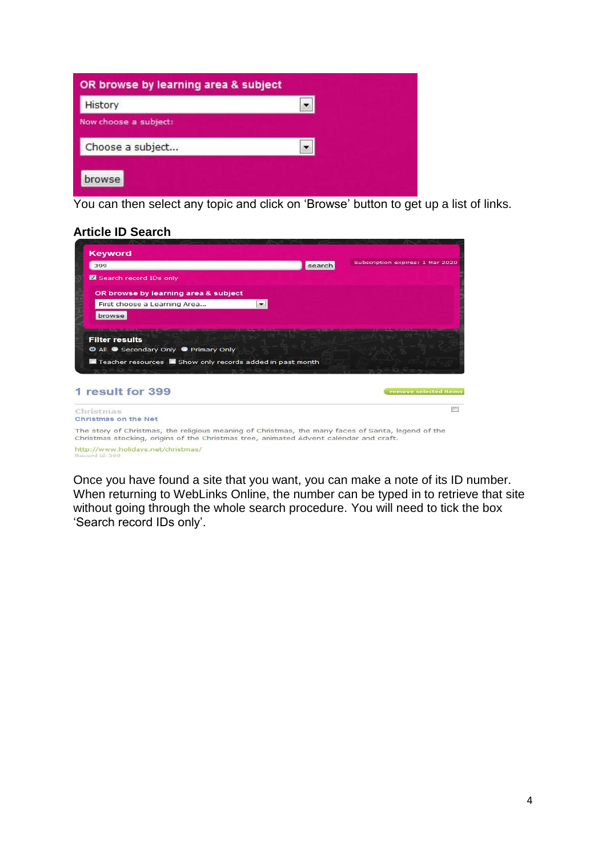You can then select any topic and click on 'Browse' button to get up a list of links.

## **Article ID Search**

| <b>Keyword</b>                                                                                                                                                                               |                          |        |                                  |
|----------------------------------------------------------------------------------------------------------------------------------------------------------------------------------------------|--------------------------|--------|----------------------------------|
| 399                                                                                                                                                                                          |                          | search | Subscription expires: 1 Mar 2020 |
| Search record IDs only                                                                                                                                                                       |                          |        |                                  |
| OR browse by learning area & subject                                                                                                                                                         |                          |        |                                  |
| First choose a Learning Area                                                                                                                                                                 | $\overline{\phantom{a}}$ |        |                                  |
| browse                                                                                                                                                                                       |                          |        |                                  |
| <b>Filter results</b>                                                                                                                                                                        |                          |        |                                  |
| © All ● Secondary Only ● Primary Only                                                                                                                                                        |                          |        |                                  |
| Teacher resources <b>In</b> Show only records added in past month                                                                                                                            |                          |        |                                  |
|                                                                                                                                                                                              |                          |        |                                  |
| 1 result for 399                                                                                                                                                                             |                          |        | remove selected items            |
|                                                                                                                                                                                              |                          |        |                                  |
| Christmas                                                                                                                                                                                    |                          |        |                                  |
| Christmas on the Net                                                                                                                                                                         |                          |        |                                  |
| The story of Christmas, the religious meaning of Christmas, the many faces of Santa, legend of the<br>Christmas stocking, origins of the Christmas tree, animated Advent calendar and craft. |                          |        |                                  |
| http://www.holidays.net/christmas/<br>Record id: 399                                                                                                                                         |                          |        |                                  |

Once you have found a site that you want, you can make a note of its ID number. When returning to WebLinks Online, the number can be typed in to retrieve that site without going through the whole search procedure. You will need to tick the box 'Search record IDs only'.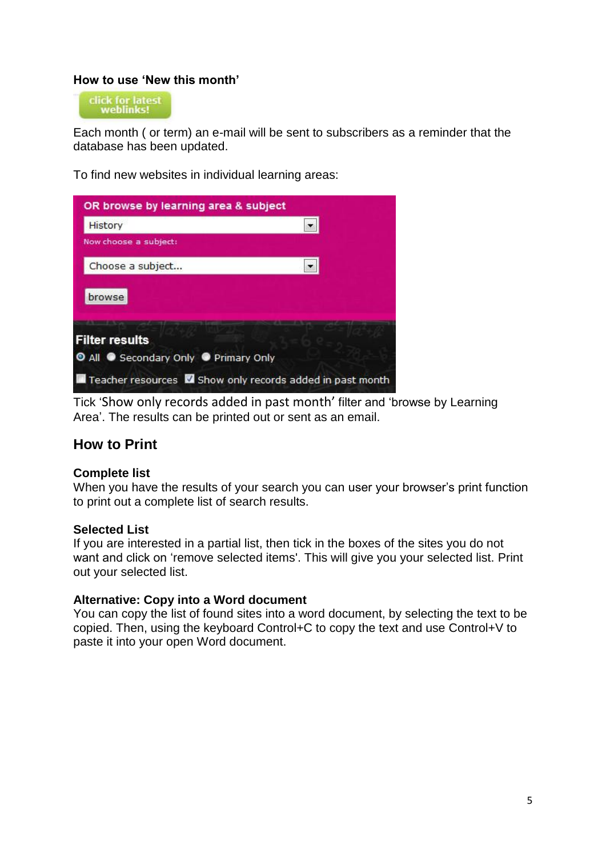## **How to use 'New this month'**

click for latest<br>weblinks!

Each month ( or term) an e-mail will be sent to subscribers as a reminder that the database has been updated.

To find new websites in individual learning areas:

| OR browse by learning area & subject                             |  |
|------------------------------------------------------------------|--|
| History                                                          |  |
| Now choose a subject:                                            |  |
| Choose a subject                                                 |  |
| browse                                                           |  |
| <b>Filter results</b>                                            |  |
| O All C Secondary Only C Primary Only                            |  |
| Teacher resources <b>V</b> Show only records added in past month |  |

Tick 'Show only records added in past month' filter and 'browse by Learning Area'. The results can be printed out or sent as an email.

## **How to Print**

#### **Complete list**

When you have the results of your search you can user your browser's print function to print out a complete list of search results.

#### **Selected List**

If you are interested in a partial list, then tick in the boxes of the sites you do not want and click on 'remove selected items'. This will give you your selected list. Print out your selected list.

#### **Alternative: Copy into a Word document**

You can copy the list of found sites into a word document, by selecting the text to be copied. Then, using the keyboard Control+C to copy the text and use Control+V to paste it into your open Word document.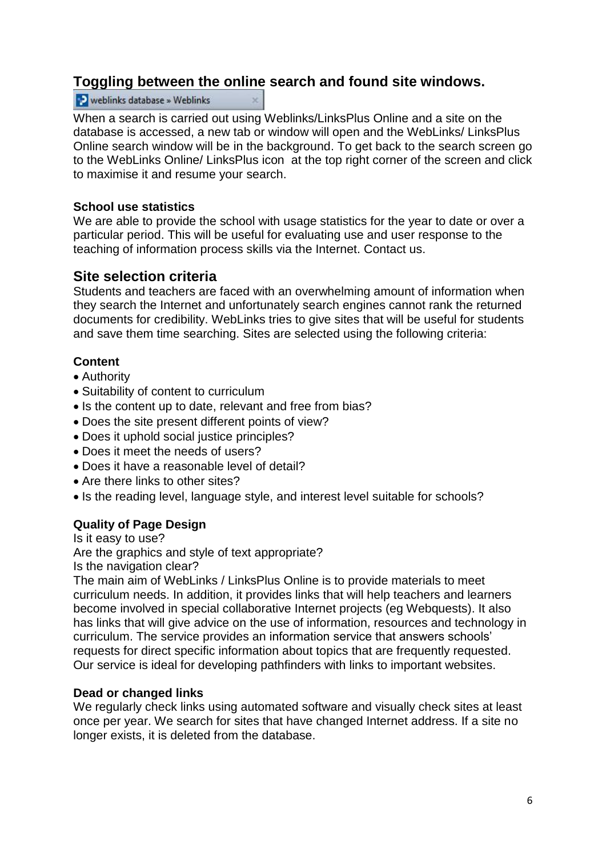## **Toggling between the online search and found site windows.**

#### **D** weblinks database » Weblinks

When a search is carried out using Weblinks/LinksPlus Online and a site on the database is accessed, a new tab or window will open and the WebLinks/ LinksPlus Online search window will be in the background. To get back to the search screen go to the WebLinks Online/ LinksPlus icon at the top right corner of the screen and click to maximise it and resume your search.

## **School use statistics**

We are able to provide the school with usage statistics for the year to date or over a particular period. This will be useful for evaluating use and user response to the teaching of information process skills via the Internet. Contact us.

## **Site selection criteria**

Students and teachers are faced with an overwhelming amount of information when they search the Internet and unfortunately search engines cannot rank the returned documents for credibility. WebLinks tries to give sites that will be useful for students and save them time searching. Sites are selected using the following criteria:

## **Content**

- Authority
- Suitability of content to curriculum
- Is the content up to date, relevant and free from bias?
- Does the site present different points of view?
- Does it uphold social justice principles?
- Does it meet the needs of users?
- Does it have a reasonable level of detail?
- Are there links to other sites?
- Is the reading level, language style, and interest level suitable for schools?

## **Quality of Page Design**

Is it easy to use?

Are the graphics and style of text appropriate?

Is the navigation clear?

The main aim of WebLinks / LinksPlus Online is to provide materials to meet curriculum needs. In addition, it provides links that will help teachers and learners become involved in special collaborative Internet projects (eg Webquests). It also has links that will give advice on the use of information, resources and technology in curriculum. The service provides an information service that answers schools' requests for direct specific information about topics that are frequently requested. Our service is ideal for developing pathfinders with links to important websites.

#### **Dead or changed links**

We regularly check links using automated software and visually check sites at least once per year. We search for sites that have changed Internet address. If a site no longer exists, it is deleted from the database.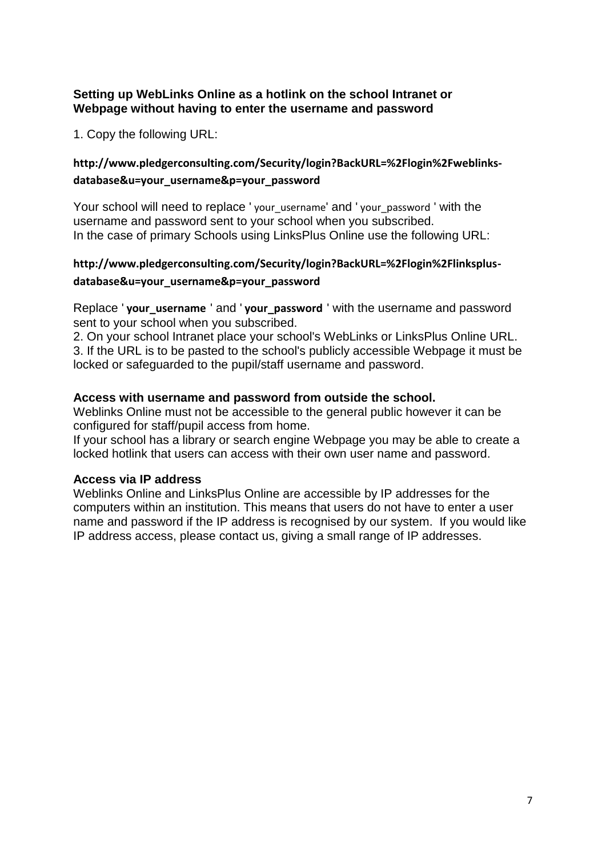## **Setting up WebLinks Online as a hotlink on the school Intranet or Webpage without having to enter the username and password**

1. Copy the following URL:

## **http://www.pledgerconsulting.com/Security/login?BackURL=%2Flogin%2Fweblinksdatabase&u=your\_username&p=your\_password**

Your school will need to replace ' your username' and ' your password ' with the username and password sent to your school when you subscribed. In the case of primary Schools using LinksPlus Online use the following URL:

# **http://www.pledgerconsulting.com/Security/login?BackURL=%2Flogin%2Flinksplus-**

## **database&u=your\_username&p=your\_password**

Replace ' **your\_username** ' and ' **your\_password** ' with the username and password sent to your school when you subscribed.

2. On your school Intranet place your school's WebLinks or LinksPlus Online URL. 3. If the URL is to be pasted to the school's publicly accessible Webpage it must be locked or safeguarded to the pupil/staff username and password.

## **Access with username and password from outside the school.**

Weblinks Online must not be accessible to the general public however it can be configured for staff/pupil access from home.

If your school has a library or search engine Webpage you may be able to create a locked hotlink that users can access with their own user name and password.

## **Access via IP address**

Weblinks Online and LinksPlus Online are accessible by IP addresses for the computers within an institution. This means that users do not have to enter a user name and password if the IP address is recognised by our system. If you would like IP address access, please contact us, giving a small range of IP addresses.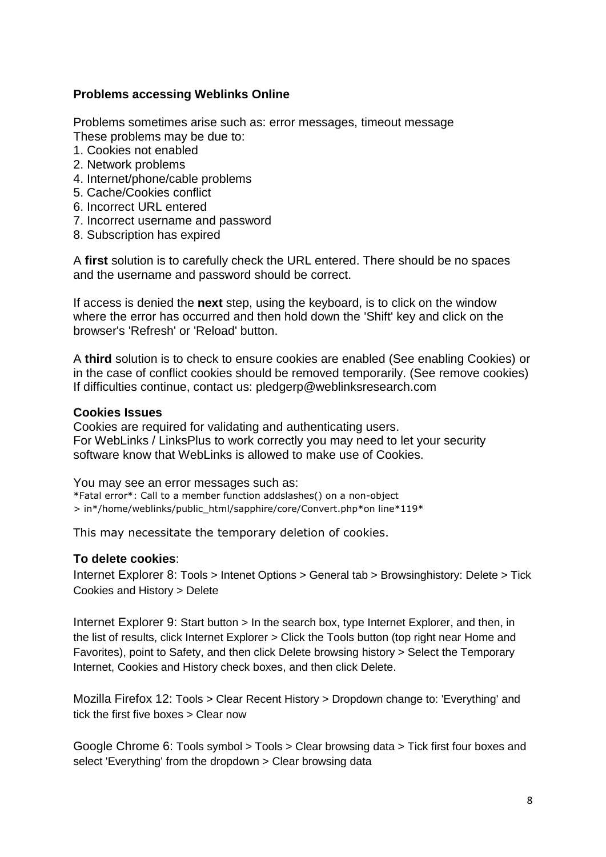### **Problems accessing Weblinks Online**

Problems sometimes arise such as: error messages, timeout message These problems may be due to:

- 1. Cookies not enabled
- 2. Network problems
- 4. Internet/phone/cable problems
- 5. Cache/Cookies conflict
- 6. Incorrect URL entered
- 7. Incorrect username and password
- 8. Subscription has expired

A **first** solution is to carefully check the URL entered. There should be no spaces and the username and password should be correct.

If access is denied the **next** step, using the keyboard, is to click on the window where the error has occurred and then hold down the 'Shift' key and click on the browser's 'Refresh' or 'Reload' button.

A **third** solution is to check to ensure cookies are enabled (See enabling Cookies) or in the case of conflict cookies should be removed temporarily. (See remove cookies) If difficulties continue, contact us: pledgerp@weblinksresearch.com

#### **Cookies Issues**

Cookies are required for validating and authenticating users. For WebLinks / LinksPlus to work correctly you may need to let your security software know that WebLinks is allowed to make use of Cookies.

You may see an error messages such as:

\*Fatal error\*: Call to a member function addslashes() on a non-object > in\*/home/weblinks/public\_html/sapphire/core/Convert.php\*on line\*119\*

This may necessitate the temporary deletion of cookies.

#### **To delete cookies**:

Internet Explorer 8: Tools > Intenet Options > General tab > Browsinghistory: Delete > Tick Cookies and History > Delete

Internet Explorer 9: Start button > In the search box, type Internet Explorer, and then, in the list of results, click Internet Explorer > Click the Tools button (top right near Home and Favorites), point to Safety, and then click Delete browsing history > Select the Temporary Internet, Cookies and History check boxes, and then click Delete.

Mozilla Firefox 12: Tools > Clear Recent History > Dropdown change to: 'Everything' and tick the first five boxes > Clear now

Google Chrome 6: Tools symbol > Tools > Clear browsing data > Tick first four boxes and select 'Everything' from the dropdown > Clear browsing data